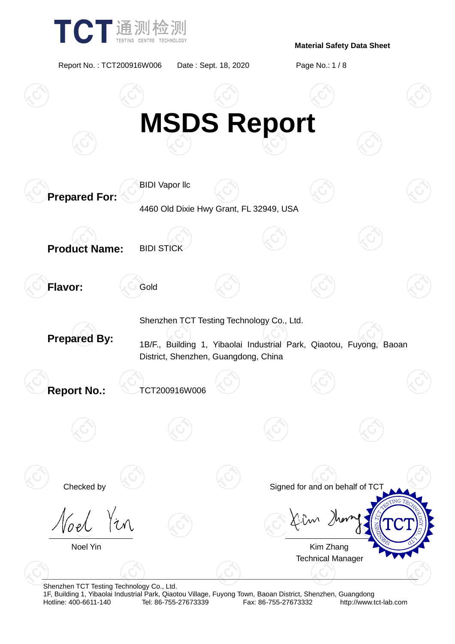

Report No. : TCT200916W006 Date : Sept. 18, 2020 Page No.: 1 / 8



Shenzhen TCT Testing Technology Co., Ltd.

1F, Building 1, Yibaolai Industrial Park, Qiaotou Village, Fuyong Town, Baoan District, Shenzhen, Guangdong Fax: 86-755-27673332 http://www.tct-lab.com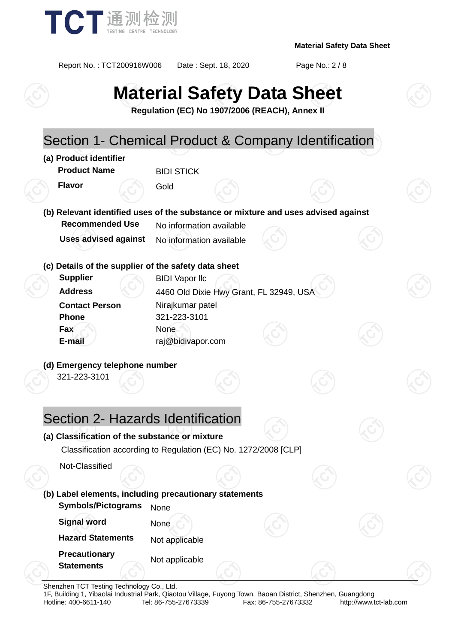

Report No. : TCT200916W006 Date : Sept. 18, 2020 Page No.: 2 / 8

# **Material Safety Data Sheet**

**Regulation (EC) No 1907/2006 (REACH), Annex II**

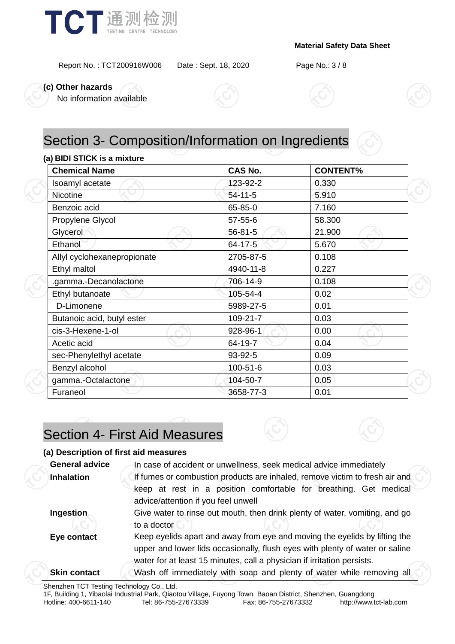

Report No. : TCT200916W006 Date : Sept. 18, 2020 Page No.: 3 / 8

**(c) Other hazards**

No information available



# Section 3- Composition/Information on Ingredients

#### **(a) BIDI STICK is a mixture**

| <b>Chemical Name</b>        | <b>CAS No.</b> | <b>CONTENT%</b> |  |  |
|-----------------------------|----------------|-----------------|--|--|
| Isoamyl acetate             | 123-92-2       | 0.330           |  |  |
| <b>Nicotine</b>             | $54-11-5$      | 5.910           |  |  |
| Benzoic acid                | 65-85-0        | 7.160           |  |  |
| Propylene Glycol            | $57 - 55 - 6$  | 58.300          |  |  |
| Glycerol                    | $56 - 81 - 5$  | 21.900          |  |  |
| Ethanol                     | 64-17-5        | 5.670           |  |  |
| Allyl cyclohexanepropionate | 2705-87-5      | 0.108           |  |  |
| Ethyl maltol                | 4940-11-8      | 0.227           |  |  |
| .gamma.-Decanolactone       | 706-14-9       | 0.108           |  |  |
| Ethyl butanoate             | 105-54-4       | 0.02            |  |  |
| D-Limonene                  | 5989-27-5      | 0.01            |  |  |
| Butanoic acid, butyl ester  | 109-21-7       | 0.03            |  |  |
| cis-3-Hexene-1-ol           | 928-96-1       | 0.00            |  |  |
| Acetic acid                 | 64-19-7        | 0.04            |  |  |
| sec-Phenylethyl acetate     | 93-92-5        | 0.09            |  |  |
| Benzyl alcohol              | 100-51-6       | 0.03            |  |  |
| gamma.-Octalactone          | 104-50-7       | 0.05            |  |  |
| Furaneol                    | 3658-77-3      | 0.01            |  |  |

# Section 4- First Aid Measures

#### **(a) Description of first aid measures**

| <b>General advice</b> | In case of accident or unwellness, seek medical advice immediately                                       |  |  |
|-----------------------|----------------------------------------------------------------------------------------------------------|--|--|
| <b>Inhalation</b>     | If fumes or combustion products are inhaled, remove victim to fresh air and                              |  |  |
|                       | keep at rest in a position comfortable for breathing. Get medical<br>advice/attention if you feel unwell |  |  |
| Ingestion             | Give water to rinse out mouth, then drink plenty of water, vomiting, and go                              |  |  |
|                       | to a doctor                                                                                              |  |  |
| Eye contact           | Keep eyelids apart and away from eye and moving the eyelids by lifting the                               |  |  |
|                       | upper and lower lids occasionally, flush eyes with plenty of water or saline                             |  |  |
|                       | water for at least 15 minutes, call a physician if irritation persists.                                  |  |  |
| <b>Skin contact</b>   | Wash off immediately with soap and plenty of water while removing all                                    |  |  |
|                       |                                                                                                          |  |  |

Shenzhen TCT Testing Technology Co., Ltd.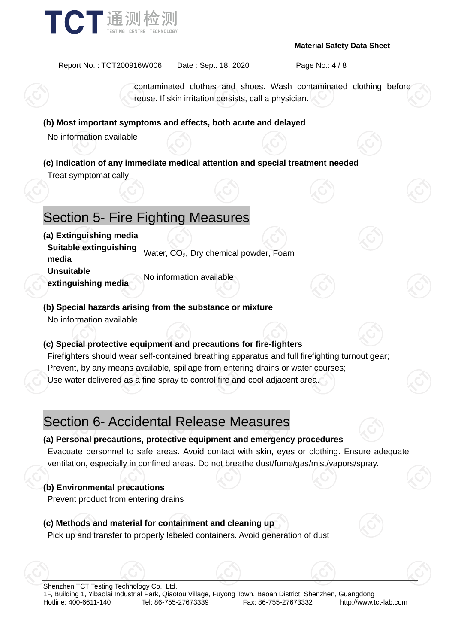

Report No. : TCT200916W006 Date : Sept. 18, 2020 Page No.: 4 / 8

contaminated clothes and shoes. Wash contaminated clothing before reuse. If skin irritation persists, call a physician.

#### **(b) Most important symptoms and effects, both acute and delayed**

No information available

**(c) Indication of any immediate medical attention and special treatment needed** Treat symptomatically

# Section 5- Fire Fighting Measures

**(a) Extinguishing media Suitable extinguishing media** Water, CO<sub>2</sub>, Dry chemical powder, Foam **Unsuitable extinguishing media** No information available

**(b) Special hazards arising from the substance or mixture** No information available

### **(c) Special protective equipment and precautions for fire-fighters**

Firefighters should wear self-contained breathing apparatus and full firefighting turnout gear; Prevent, by any means available, spillage from entering drains or water courses; Use water delivered as a fine spray to control fire and cool adjacent area.

# Section 6- Accidental Release Measures

### **(a) Personal precautions, protective equipment and emergency procedures**

Evacuate personnel to safe areas. Avoid contact with skin, eyes or clothing. Ensure adequate ventilation, especially in confined areas. Do not breathe dust/fume/gas/mist/vapors/spray.

### **(b) Environmental precautions**

Prevent product from entering drains

### **(c) Methods and material for containment and cleaning up**

Pick up and transfer to properly labeled containers. Avoid generation of dust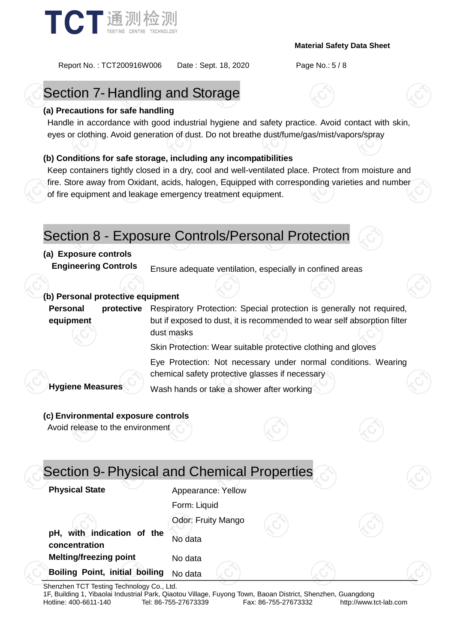

Report No. : TCT200916W006 Date : Sept. 18, 2020 Page No.: 5 / 8

# Section 7- Handling and Storage

### **(a) Precautions for safe handling**

Handle in accordance with good industrial hygiene and safety practice. Avoid contact with skin, eyes or clothing. Avoid generation of dust. Do not breathe dust/fume/gas/mist/vapors/spray

### **(b) Conditions for safe storage, including any incompatibilities**

Keep containers tightly closed in a dry, cool and well-ventilated place. Protect from moisture and fire. Store away from Oxidant, acids, halogen, Equipped with corresponding varieties and number of fire equipment and leakage emergency treatment equipment.

### Section 8 - Exposure Controls/Personal Protection

### **(a) Exposure controls**

**Engineering Controls** Ensure adequate ventilation, especially in confined areas

### **(b) Personal protective equipment**

**Personal protective equipment** Respiratory Protection: Special protection is generally not required, but if exposed to dust, it is recommended to wear self absorption filter dust masks

Skin Protection: Wear suitable protective clothing and gloves

Eye Protection: Not necessary under normal conditions. Wearing chemical safety protective glasses if necessary

**Hygiene Measures** Wash hands or take a shower after working

### **(c) Environmental exposure controls**

Avoid release to the environment

| <b>Physical State</b><br>Appearance: Yellow            |  |
|--------------------------------------------------------|--|
| Form: Liquid                                           |  |
| Odor: Fruity Mango                                     |  |
| pH, with indication of the<br>No data<br>concentration |  |
| <b>Melting/freezing point</b><br>No data               |  |
| <b>Boiling Point, initial boiling</b><br>No data       |  |

Shenzhen TCT Testing Technology Co., Ltd.

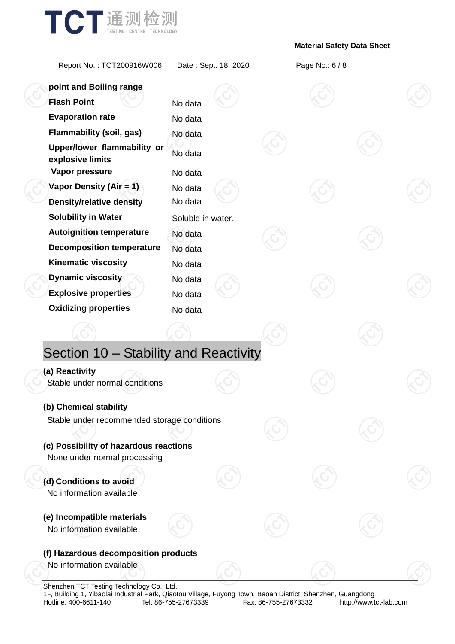

Report No. : TCT200916W006 Date : Sept. 18, 2020 Page No.: 6 / 8

| point and Boiling range                                           |                    |  |  |  |
|-------------------------------------------------------------------|--------------------|--|--|--|
| <b>Flash Point</b>                                                | No data            |  |  |  |
| <b>Evaporation rate</b>                                           | No data            |  |  |  |
| <b>Flammability (soil, gas)</b>                                   | No data            |  |  |  |
| Upper/lower flammability or<br>explosive limits<br>Vapor pressure | No data<br>No data |  |  |  |
| Vapor Density (Air = 1)                                           | No data            |  |  |  |
| <b>Density/relative density</b>                                   | No data            |  |  |  |
| <b>Solubility in Water</b>                                        | Soluble in water.  |  |  |  |
| <b>Autoignition temperature</b>                                   | No data            |  |  |  |
| <b>Decomposition temperature</b>                                  | No data            |  |  |  |
| <b>Kinematic viscosity</b>                                        | No data            |  |  |  |
| <b>Dynamic viscosity</b>                                          | No data            |  |  |  |
| <b>Explosive properties</b>                                       | No data            |  |  |  |
| <b>Oxidizing properties</b>                                       | No data            |  |  |  |
|                                                                   |                    |  |  |  |
| Section 10 - Stability and Reactivity                             |                    |  |  |  |
| (a) Reactivity                                                    |                    |  |  |  |
| Stable under normal conditions                                    |                    |  |  |  |
| (b) Chemical stability                                            |                    |  |  |  |
| Stable under recommended storage conditions                       |                    |  |  |  |
| (c) Possibility of hazardous reactions                            |                    |  |  |  |
| None under normal processing                                      |                    |  |  |  |
| (d) Conditions to avoid<br>No information available               |                    |  |  |  |
| (e) Incompatible materials<br>No information available            |                    |  |  |  |
| (f) Hazardous decomposition products                              |                    |  |  |  |
| No information available                                          |                    |  |  |  |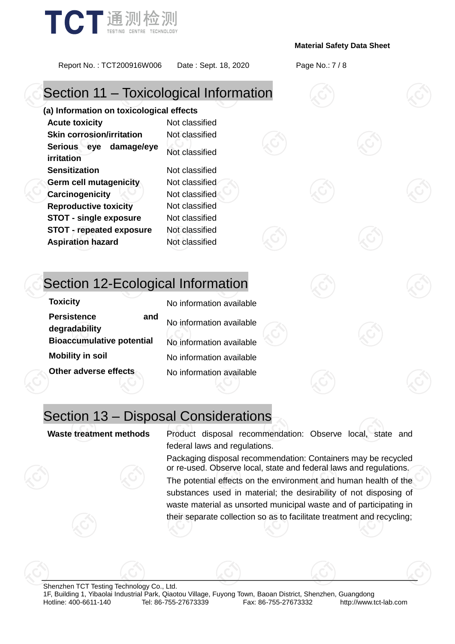

Report No. : TCT200916W006 Date : Sept. 18, 2020 Page No.: 7 / 8

# Section 11 – Toxicological Information

**(a) Information on toxicological effects Acute toxicity** Not classified **Skin corrosion/irritation** Not classified **Serious eye damage/eye irritation** Not classified **Sensitization** Not classified **Germ cell mutagenicity** Not classified **Carcinogenicity Not classified Reproductive toxicity** Not classified **STOT - single exposure** Not classified **STOT - repeated exposure** Not classified **Aspiration hazard** Not classified

# Section 12-Ecological Information

| <b>Toxicity</b>                            | No information available |
|--------------------------------------------|--------------------------|
| <b>Persistence</b><br>and<br>degradability | No information available |
| <b>Bioaccumulative potential</b>           | No information available |
| <b>Mobility in soil</b>                    | No information available |
| Other adverse effects                      | No information available |

# Section 13 – Disposal Considerations

**Waste treatment methods** Product disposal recommendation: Observe local, state and federal laws and regulations.

> Packaging disposal recommendation: Containers may be recycled or re-used. Observe local, state and federal laws and regulations.

> The potential effects on the environment and human health of the substances used in material; the desirability of not disposing of waste material as unsorted municipal waste and of participating in their separate collection so as to facilitate treatment and recycling;

Shenzhen TCT Testing Technology Co., Ltd. 1F, Building 1, Yibaolai Industrial Park, Qiaotou Village, Fuyong Town, Baoan District, Shenzhen, Guangdong http://www.tct-lab.com